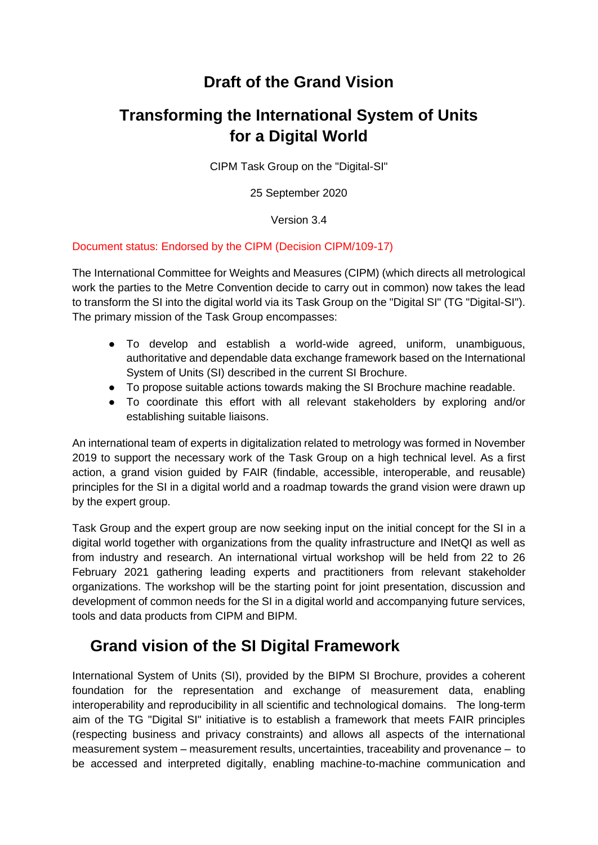## **Draft of the Grand Vision**

# **Transforming the International System of Units for a Digital World**

CIPM Task Group on the "Digital-SI"

25 September 2020

Version 3.4

#### Document status: Endorsed by the CIPM (Decision CIPM/109-17)

The International Committee for Weights and Measures (CIPM) (which directs all metrological work the parties to the Metre Convention decide to carry out in common) now takes the lead to transform the SI into the digital world via its Task Group on the "Digital SI" (TG "Digital-SI"). The primary mission of the Task Group encompasses:

- To develop and establish a world-wide agreed, uniform, unambiguous, authoritative and dependable data exchange framework based on the International System of Units (SI) described in the current SI Brochure.
- To propose suitable actions towards making the SI Brochure machine readable.
- To coordinate this effort with all relevant stakeholders by exploring and/or establishing suitable liaisons.

An international team of experts in digitalization related to metrology was formed in November 2019 to support the necessary work of the Task Group on a high technical level. As a first action, a grand vision guided by FAIR (findable, accessible, interoperable, and reusable) principles for the SI in a digital world and a roadmap towards the grand vision were drawn up by the expert group.

Task Group and the expert group are now seeking input on the initial concept for the SI in a digital world together with organizations from the quality infrastructure and INetQI as well as from industry and research. An international virtual workshop will be held from 22 to 26 February 2021 gathering leading experts and practitioners from relevant stakeholder organizations. The workshop will be the starting point for joint presentation, discussion and development of common needs for the SI in a digital world and accompanying future services, tools and data products from CIPM and BIPM.

### **Grand vision of the SI Digital Framework**

International System of Units (SI), provided by the BIPM SI Brochure, provides a coherent foundation for the representation and exchange of measurement data, enabling interoperability and reproducibility in all scientific and technological domains. The long-term aim of the TG "Digital SI" initiative is to establish a framework that meets FAIR principles (respecting business and privacy constraints) and allows all aspects of the international measurement system – measurement results, uncertainties, traceability and provenance – to be accessed and interpreted digitally, enabling machine-to-machine communication and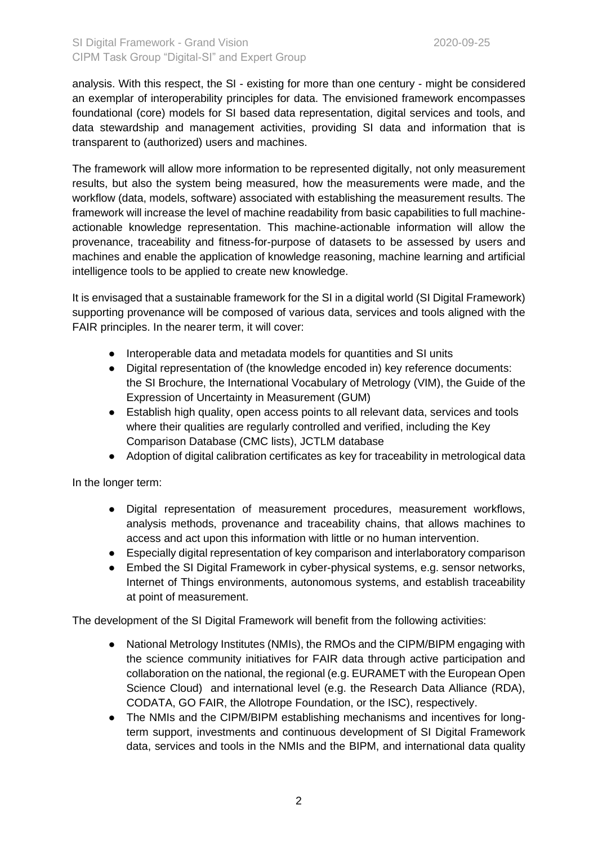#### SI Digital Framework - Grand Vision 2020-09-25 CIPM Task Group "Digital-SI" and Expert Group

analysis. With this respect, the SI - existing for more than one century - might be considered an exemplar of interoperability principles for data. The envisioned framework encompasses foundational (core) models for SI based data representation, digital services and tools, and data stewardship and management activities, providing SI data and information that is transparent to (authorized) users and machines.

The framework will allow more information to be represented digitally, not only measurement results, but also the system being measured, how the measurements were made, and the workflow (data, models, software) associated with establishing the measurement results. The framework will increase the level of machine readability from basic capabilities to full machineactionable knowledge representation. This machine-actionable information will allow the provenance, traceability and fitness-for-purpose of datasets to be assessed by users and machines and enable the application of knowledge reasoning, machine learning and artificial intelligence tools to be applied to create new knowledge.

It is envisaged that a sustainable framework for the SI in a digital world (SI Digital Framework) supporting provenance will be composed of various data, services and tools aligned with the FAIR principles. In the nearer term, it will cover:

- Interoperable data and metadata models for quantities and SI units
- Digital representation of (the knowledge encoded in) key reference documents: the SI Brochure, the International Vocabulary of Metrology (VIM), the Guide of the Expression of Uncertainty in Measurement (GUM)
- Establish high quality, open access points to all relevant data, services and tools where their qualities are regularly controlled and verified, including the Key Comparison Database (CMC lists), JCTLM database
- Adoption of digital calibration certificates as key for traceability in metrological data

In the longer term:

- Digital representation of measurement procedures, measurement workflows, analysis methods, provenance and traceability chains, that allows machines to access and act upon this information with little or no human intervention.
- Especially digital representation of key comparison and interlaboratory comparison
- Embed the SI Digital Framework in cyber-physical systems, e.g. sensor networks, Internet of Things environments, autonomous systems, and establish traceability at point of measurement.

The development of the SI Digital Framework will benefit from the following activities:

- National Metrology Institutes (NMIs), the RMOs and the CIPM/BIPM engaging with the science community initiatives for FAIR data through active participation and collaboration on the national, the regional (e.g. EURAMET with the European Open Science Cloud) and international level (e.g. the Research Data Alliance (RDA), CODATA, GO FAIR, the Allotrope Foundation, or the ISC), respectively.
- The NMIs and the CIPM/BIPM establishing mechanisms and incentives for longterm support, investments and continuous development of SI Digital Framework data, services and tools in the NMIs and the BIPM, and international data quality